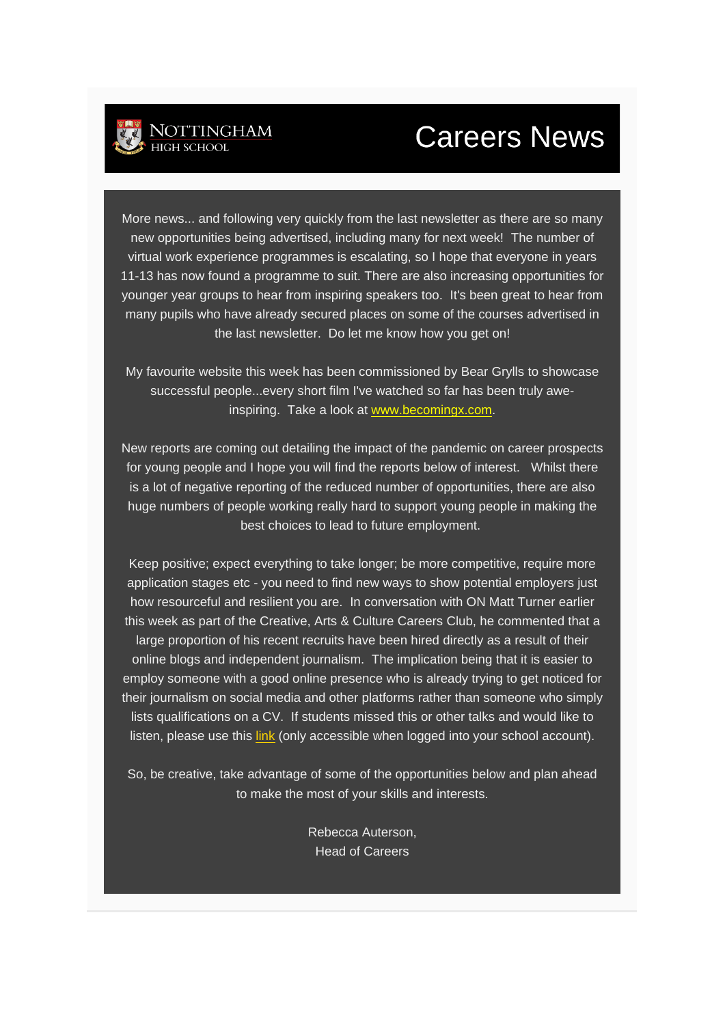## **Careers News**

More news... and following very quickly from the last newsletter as there are so many new opportunities being advertised, including many for next week! The number of virtual work experience programmes is escalating, so I hope that everyone in years 11-13 has now found a programme to suit. There are also increasing opportunities for younger year groups to hear from inspiring speakers too. It's been great to hear from many pupils who have already secured places on some of the courses advertised in the last newsletter. Do let me know how you get on!

My favourite website this week has been commissioned by Bear Grylls to showcase successful people...every short film I've watched so far has been truly aweinspiring. Take a look at [www.becomingx.com.](http://www.becomingx.com/)

New reports are coming out detailing the impact of the pandemic on career prospects for young people and I hope you will find the reports below of interest. Whilst there is a lot of negative reporting of the reduced number of opportunities, there are also huge numbers of people working really hard to support young people in making the best choices to lead to future employment.

Keep positive; expect everything to take longer; be more competitive, require more application stages etc - you need to find new ways to show potential employers just how resourceful and resilient you are. In conversation with ON Matt Turner earlier this week as part of the Creative, Arts & Culture Careers Club, he commented that a large proportion of his recent recruits have been hired directly as a result of their online blogs and independent journalism. The implication being that it is easier to employ someone with a good online presence who is already trying to get noticed for their journalism on social media and other platforms rather than someone who simply lists qualifications on a CV. If students missed this or other talks and would like to listen, please use this [link](https://drive.google.com/drive/folders/1yTsdhqYrVkIlA_znyvGRpIpmsrxcfsZZ?usp=sharing) (only accessible when logged into your school account).

So, be creative, take advantage of some of the opportunities below and plan ahead to make the most of your skills and interests.

> Rebecca Auterson, Head of Careers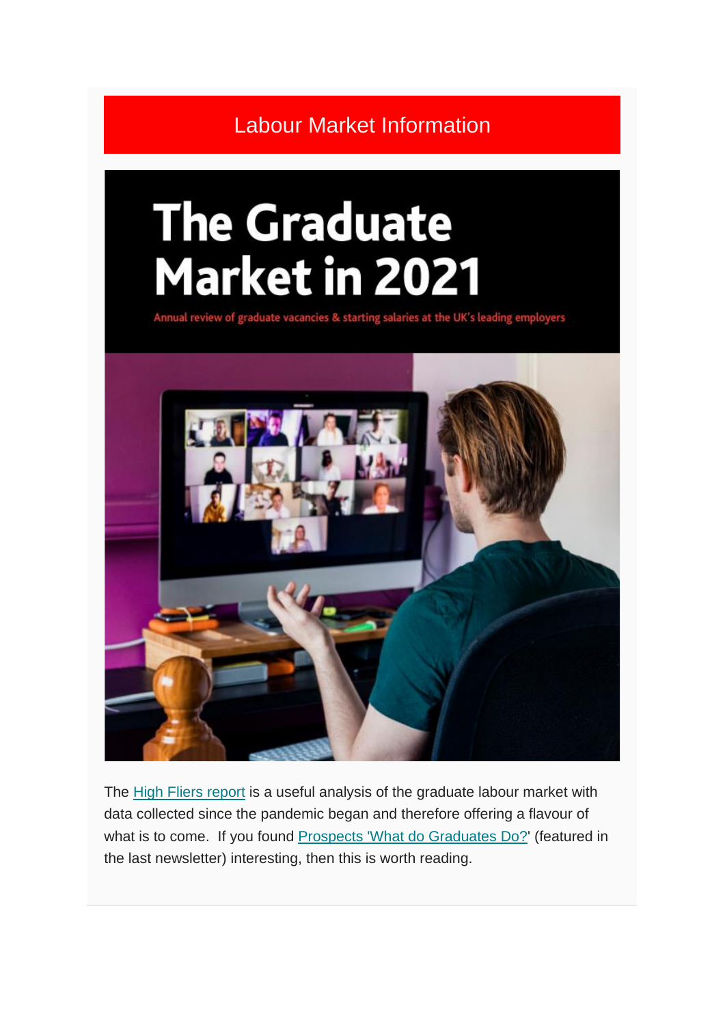Labour Market Information

# **The Graduate Market in 2021**

Annual review of graduate vacancies & starting salaries at the UK's leading employers



The [High Fliers report](https://www.highfliers.co.uk/download/2021/graduate_market/GM21-Report.pdf) is a useful analysis of the graduate labour market with data collected since the pandemic began and therefore offering a flavour of what is to come. If you found [Prospects 'What do Graduates Do?'](https://luminate.prospects.ac.uk/) (featured in the last newsletter) interesting, then this is worth reading.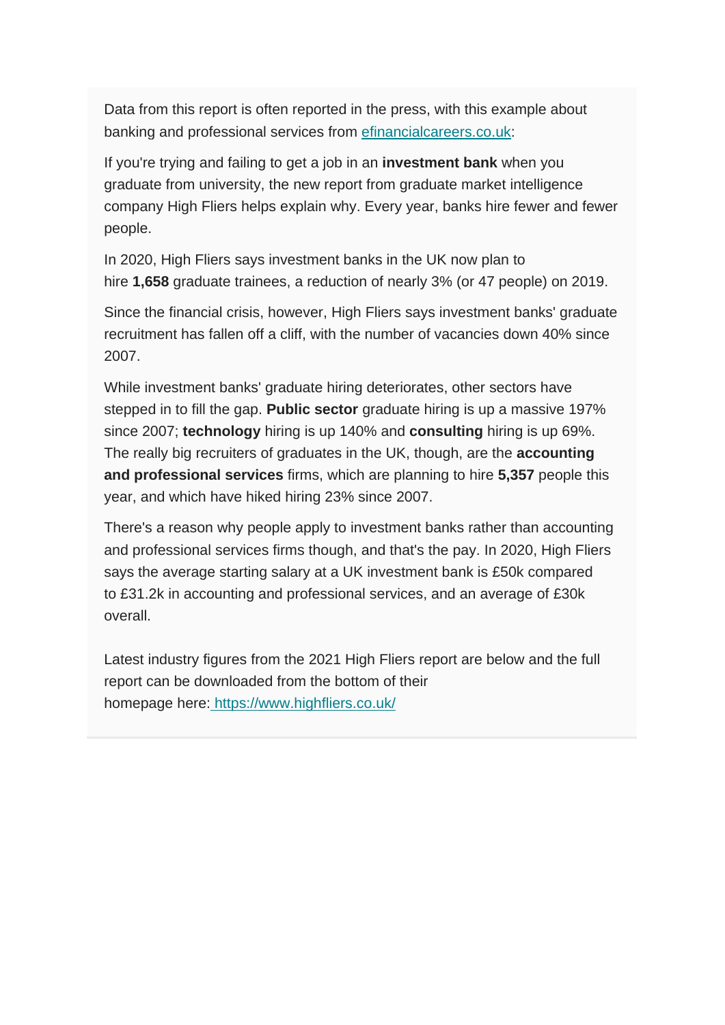Data from this report is often reported in the press, with this example about banking and professional services from [efinancialcareers.co.uk:](https://www.efinancialcareers.co.uk/news/2020/01/investment-banks-graduate-recruitment)

If you're trying and failing to get a job in an **investment bank** when you graduate from university, the new report from graduate market intelligence company High Fliers helps explain why. Every year, banks hire fewer and fewer people.

In 2020, High Fliers says investment banks in the UK now plan to hire **1,658** graduate trainees, a reduction of nearly 3% (or 47 people) on 2019.

Since the financial crisis, however, High Fliers says investment banks' graduate recruitment has fallen off a cliff, with the number of vacancies down 40% since 2007.

While investment banks' graduate hiring deteriorates, other sectors have stepped in to fill the gap. **Public sector** graduate hiring is up a massive 197% since 2007; **technology** hiring is up 140% and **consulting** hiring is up 69%. The really big recruiters of graduates in the UK, though, are the **accounting and professional services** firms, which are planning to hire **5,357** people this year, and which have hiked hiring 23% since 2007.

There's a reason why people apply to investment banks rather than accounting and professional services firms though, and that's the pay. In 2020, High Fliers says the average starting salary at a UK investment bank is £50k compared to £31.2k in accounting and professional services, and an average of £30k overall.

Latest industry figures from the 2021 High Fliers report are below and the full report can be downloaded from the bottom of their homepage here: <https://www.highfliers.co.uk/>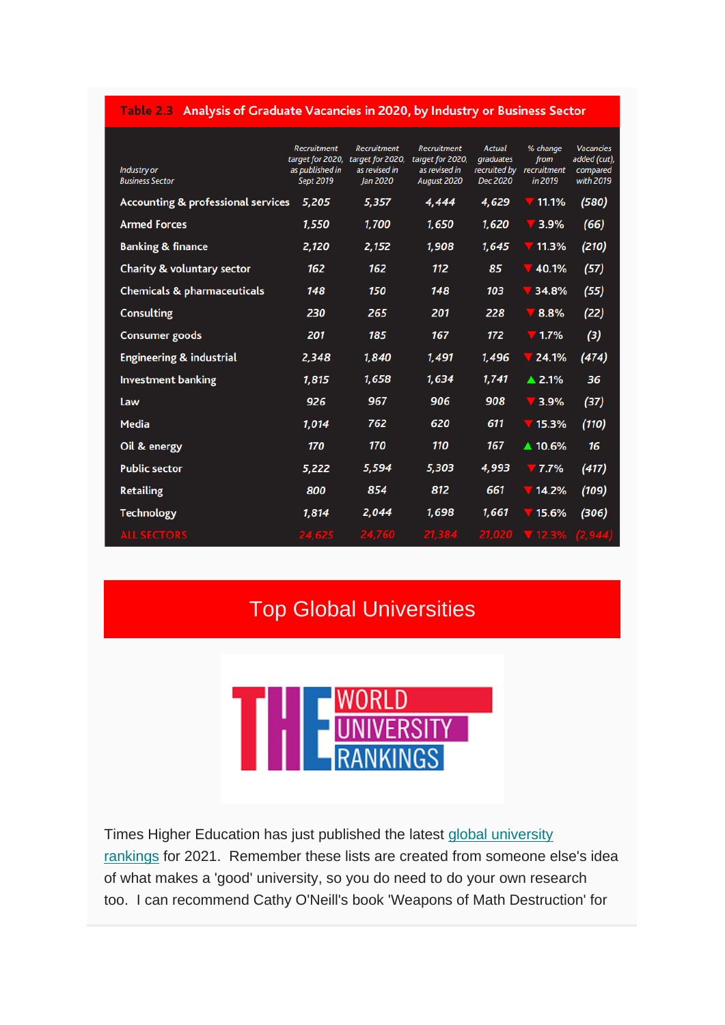#### Table 2.3 Analysis of Graduate Vacancies in 2020, by Industry or Business Sector

| Industry or<br><b>Business Sector</b>         | <b>Recruitment</b><br>target for 2020,<br>as published in<br>Sept 2019 | <b>Recruitment</b><br>target for 2020,<br>as revised in<br>Jan 2020 | <b>Recruitment</b><br>target for 2020,<br>as revised in<br>August 2020 | <b>Actual</b><br>graduates<br>recruited by<br>Dec 2020 | % change<br>from<br>recruitment<br>in 2019 | <b>Vacancies</b><br>added (cut),<br>compared<br>with 2019 |
|-----------------------------------------------|------------------------------------------------------------------------|---------------------------------------------------------------------|------------------------------------------------------------------------|--------------------------------------------------------|--------------------------------------------|-----------------------------------------------------------|
| <b>Accounting &amp; professional services</b> | 5,205                                                                  | 5,357                                                               | 4,444                                                                  | 4,629                                                  | 11.1%                                      | (580)                                                     |
| <b>Armed Forces</b>                           | 1,550                                                                  | 1,700                                                               | 1,650                                                                  | 1,620                                                  | 3.9%                                       | (66)                                                      |
| <b>Banking &amp; finance</b>                  | 2,120                                                                  | 2,152                                                               | 1,908                                                                  | 1,645                                                  | 11.3%                                      | (210)                                                     |
| <b>Charity &amp; voluntary sector</b>         | 162                                                                    | 162                                                                 | 112                                                                    | 85                                                     | 40.1%                                      | (57)                                                      |
| <b>Chemicals &amp; pharmaceuticals</b>        | 148                                                                    | 150                                                                 | 148                                                                    | 103                                                    | 34.8%                                      | (55)                                                      |
| <b>Consulting</b>                             | 230                                                                    | 265                                                                 | 201                                                                    | 228                                                    | 8.8%                                       | (22)                                                      |
| Consumer goods                                | 201                                                                    | 185                                                                 | 167                                                                    | 172                                                    | 71.7%                                      | (3)                                                       |
| <b>Engineering &amp; industrial</b>           | 2,348                                                                  | 1,840                                                               | 1,491                                                                  | 1,496                                                  | 24.1%                                      | (474)                                                     |
| <b>Investment banking</b>                     | 1,815                                                                  | 1,658                                                               | 1,634                                                                  | 1,741                                                  | $\triangle$ 2.1%                           | 36                                                        |
| Law                                           | 926                                                                    | 967                                                                 | 906                                                                    | 908                                                    | $\sqrt{3.9\%}$                             | (37)                                                      |
| <b>Media</b>                                  | 1,014                                                                  | 762                                                                 | 620                                                                    | 611                                                    | 715.3%                                     | (110)                                                     |
| Oil & energy                                  | 170                                                                    | 170                                                                 | 110                                                                    | 167                                                    | ▲ 10.6%                                    | 16                                                        |
| <b>Public sector</b>                          | 5,222                                                                  | 5,594                                                               | 5,303                                                                  | 4,993                                                  | $7.7\%$                                    | (417)                                                     |
| <b>Retailing</b>                              | 800                                                                    | 854                                                                 | 812                                                                    | 661                                                    | 14.2%                                      | (109)                                                     |
| <b>Technology</b>                             | 1,814                                                                  | 2,044                                                               | 1,698                                                                  | 1,661                                                  | 15.6%                                      | (306)                                                     |
| <b>ALL SECTORS</b>                            | 24,625                                                                 | 24,760                                                              | 21,384                                                                 | 21,020                                                 | $\P$ 12.3%                                 | (2, 944)                                                  |

### Top Global Universities



Times Higher Education has just published the latest global university [rankings](https://www.timeshighereducation.com/world-university-rankings/2021/world-ranking#!/page/0/length/25/sort_by/rank/sort_order/asc/cols/stats) for 2021. Remember these lists are created from someone else's idea of what makes a 'good' university, so you do need to do your own research too. I can recommend Cathy O'Neill's book 'Weapons of Math Destruction' for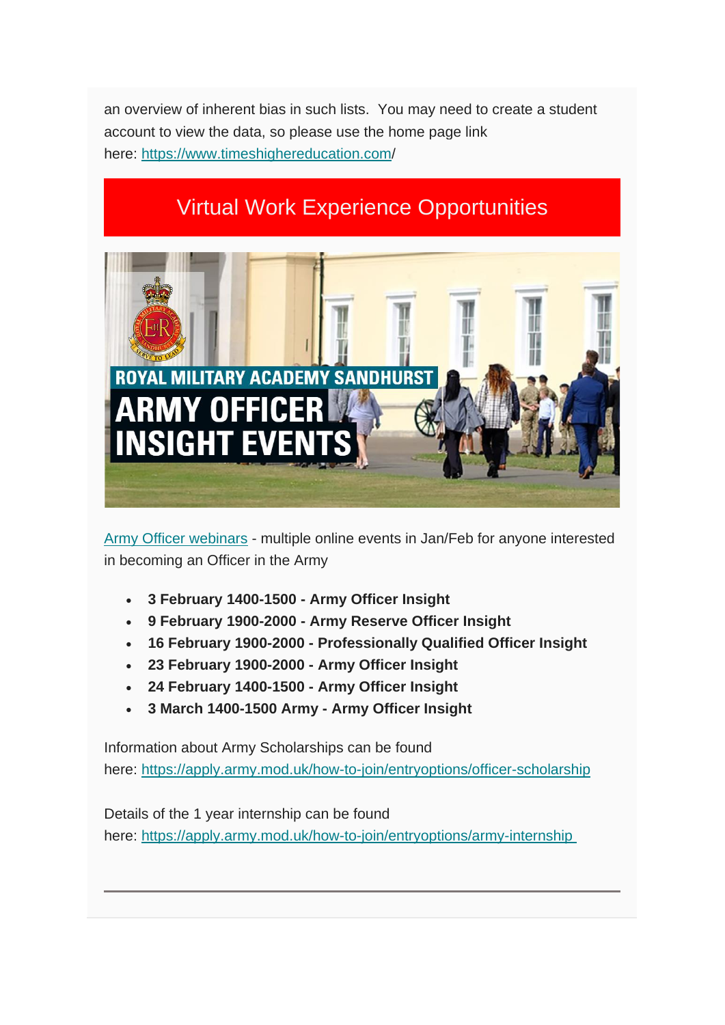an overview of inherent bias in such lists. You may need to create a student account to view the data, so please use the home page link here: <https://www.timeshighereducation.com/>

## Virtual Work Experience Opportunities



Army Officer webinars - multiple online events in Jan/Feb for anyone interested in becoming an Officer in the Army

- **3 February 1400-1500 - Army Officer Insight**
- **9 February 1900-2000 - Army Reserve Officer Insight**
- **16 February 1900-2000 - Professionally Qualified Officer Insight**
- **23 February 1900-2000 - Army Officer Insight**
- **24 February 1400-1500 - Army Officer Insight**
- **3 March 1400-1500 Army - Army Officer Insight**

Information about Army Scholarships can be found here: <https://apply.army.mod.uk/how-to-join/entryoptions/officer-scholarship>

Details of the 1 year internship can be found here: [https://apply.army.mod.uk/how-to-join/entryoptions/army-internship](https://apply.army.mod.uk/how-to-join/entryoptions/army-internship%C2%A0)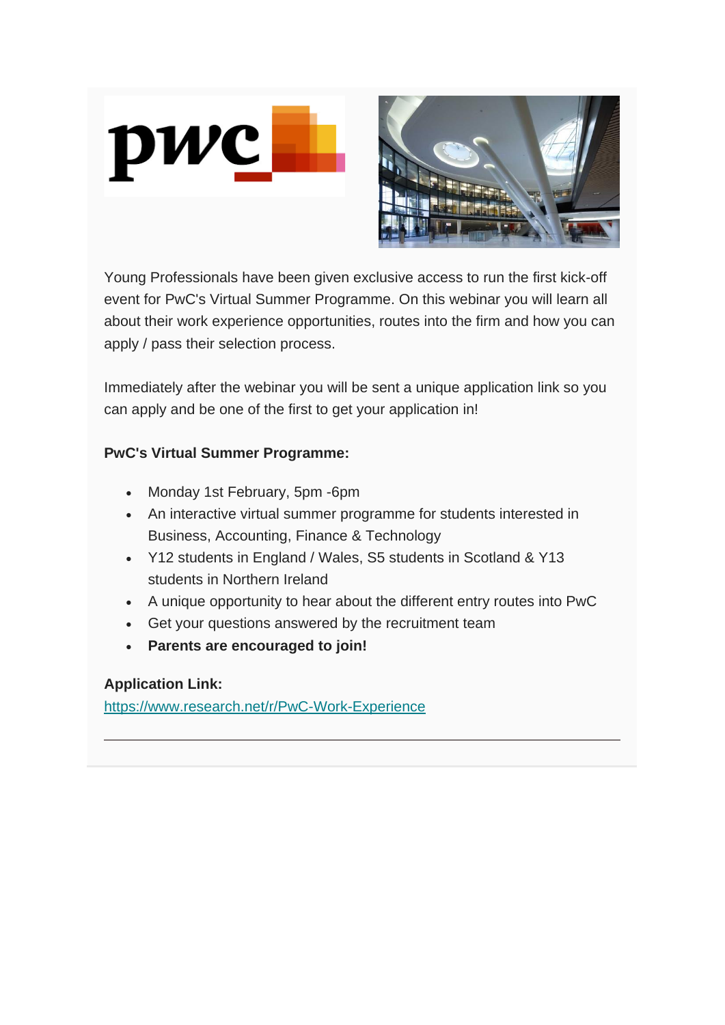

Young Professionals have been given exclusive access to run the first kick-off event for PwC's Virtual Summer Programme. On this webinar you will learn all about their work experience opportunities, routes into the firm and how you can apply / pass their selection process.

Immediately after the webinar you will be sent a unique application link so you can apply and be one of the first to get your application in!

#### **PwC's Virtual Summer Programme:**

- Monday 1st February, 5pm -6pm
- An interactive virtual summer programme for students interested in Business, Accounting, Finance & Technology
- Y12 students in England / Wales, S5 students in Scotland & Y13 students in Northern Ireland
- A unique opportunity to hear about the different entry routes into PwC
- Get your questions answered by the recruitment team
- **Parents are encouraged to join!**

#### **Application Link:**

<https://www.research.net/r/PwC-Work-Experience>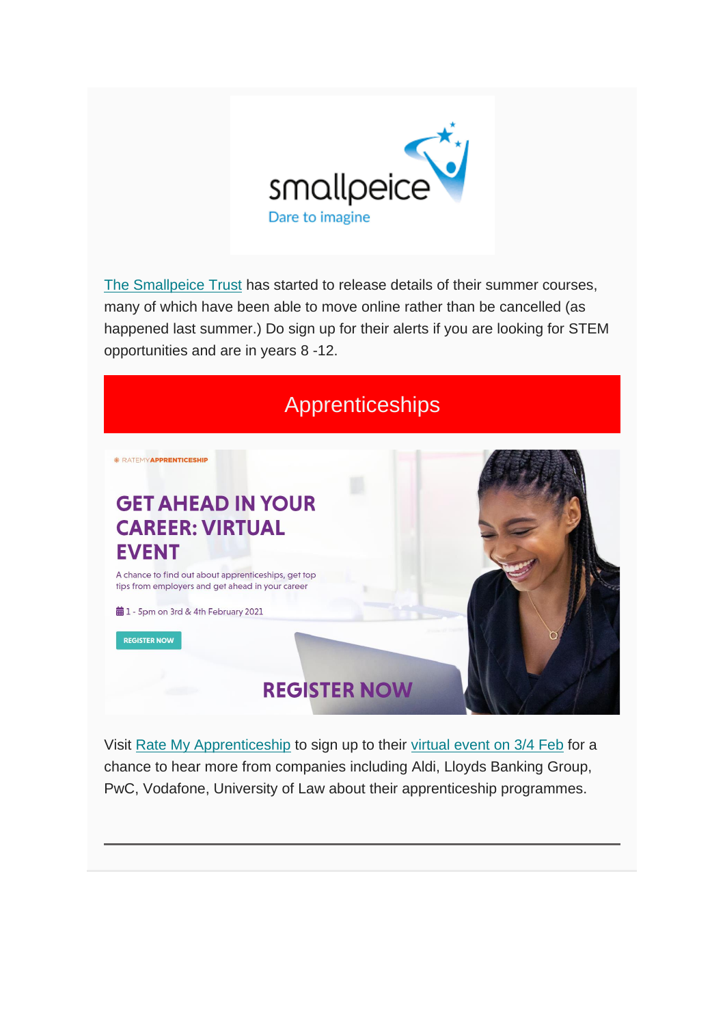

[The Smallpeice Trust](https://www.smallpeicetrust.org.uk/events) has started to release details of their summer courses, many of which have been able to move online rather than be cancelled (as happened last summer.) Do sign up for their alerts if you are looking for STEM opportunities and are in years 8 -12.



Visit [Rate My Apprenticeship](https://www.ratemyapprenticeship.co.uk/) to sign up to their [virtual event on 3/4 Feb](https://events.ratemyapprenticeship.co.uk/?utm_source=ratemyapprenticeship&utm_medium=referral&utm_campaign=middle-stage&utm_content=all-pages-banner) for a chance to hear more from companies including Aldi, Lloyds Banking Group, PwC, Vodafone, University of Law about their apprenticeship programmes.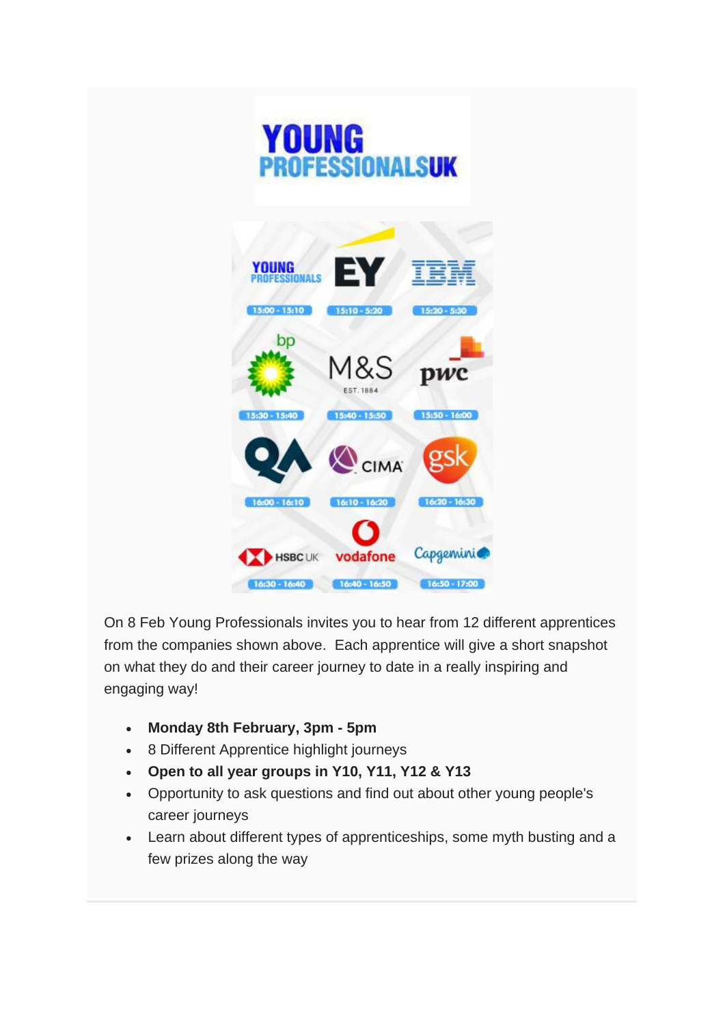



On 8 Feb Young Professionals invites you to hear from 12 different apprentices from the companies shown above. Each apprentice will give a short snapshot on what they do and their career journey to date in a really inspiring and engaging way!

- **Monday 8th February, 3pm - 5pm**
- 8 Different Apprentice highlight journeys
- **Open to all year groups in Y10, Y11, Y12 & Y13**
- Opportunity to ask questions and find out about other young people's career journeys
- Learn about different types of apprenticeships, some myth busting and a few prizes along the way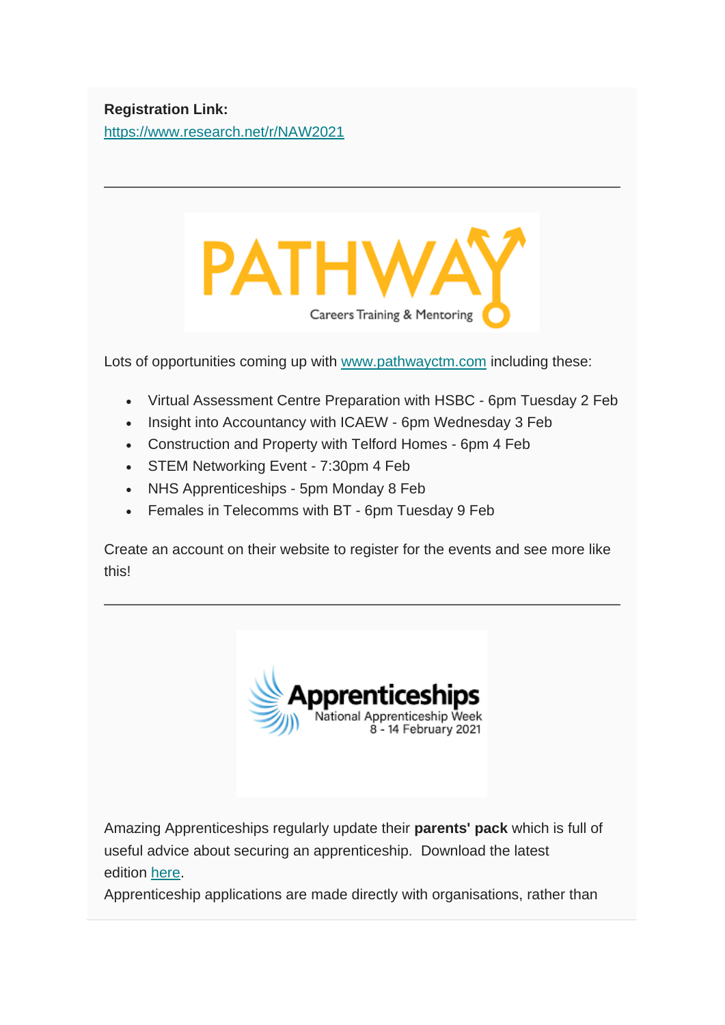#### **Registration Link:** <https://www.research.net/r/NAW2021>



Lots of opportunities coming up with [www.pathwayctm.com](https://pathwayctm.com/events/) including these:

- Virtual Assessment Centre Preparation with HSBC 6pm Tuesday 2 Feb
- Insight into Accountancy with ICAEW 6pm Wednesday 3 Feb
- Construction and Property with Telford Homes 6pm 4 Feb
- STEM Networking Event 7:30pm 4 Feb
- NHS Apprenticeships 5pm Monday 8 Feb
- Females in Telecomms with BT 6pm Tuesday 9 Feb

Create an account on their website to register for the events and see more like this!



Amazing Apprenticeships regularly update their **parents' pack** which is full of useful advice about securing an apprenticeship. Download the latest edition [here.](https://amazingapprenticeships.com/resource/parents-pack-january-2020/)

Apprenticeship applications are made directly with organisations, rather than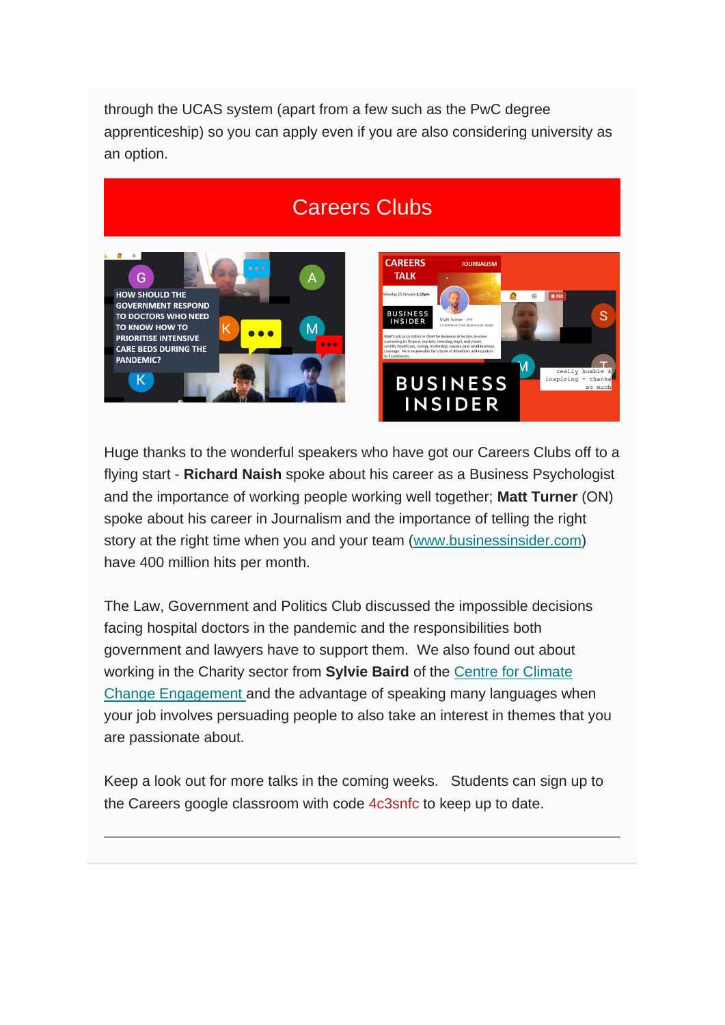through the UCAS system (apart from a few such as the PwC degree apprenticeship) so you can apply even if you are also considering university as an option.

## Careers Clubs



Huge thanks to the wonderful speakers who have got our Careers Clubs off to a flying start - **Richard Naish** spoke about his career as a Business Psychologist and the importance of working people working well together; **Matt Turner** (ON) spoke about his career in Journalism and the importance of telling the right story at the right time when you and your team [\(www.businessinsider.com\)](http://www.businessinsider.com/) have 400 million hits per month.

The Law, Government and Politics Club discussed the impossible decisions facing hospital doctors in the pandemic and the responsibilities both government and lawyers have to support them. We also found out about working in the Charity sector from **Sylvie Baird** of the [Centre for Climate](https://climatehughes.org/)  [Change Engagement](https://climatehughes.org/) and the advantage of speaking many languages when your job involves persuading people to also take an interest in themes that you are passionate about.

Keep a look out for more talks in the coming weeks. Students can sign up to the Careers google classroom with code 4c3snfc to keep up to date.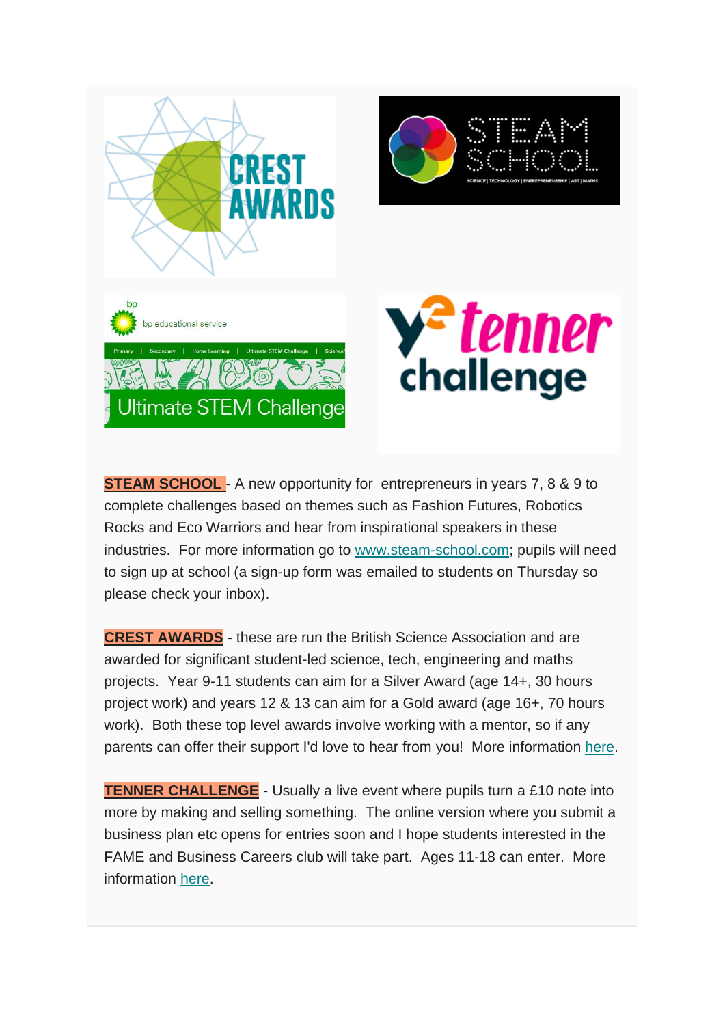

**STEAM SCHOOL** - A new opportunity for entrepreneurs in years 7, 8 & 9 to complete challenges based on themes such as Fashion Futures, Robotics Rocks and Eco Warriors and hear from inspirational speakers in these industries. For more information go to [www.steam-school.com;](http://www.steam-school.com/) pupils will need to sign up at school (a sign-up form was emailed to students on Thursday so please check your inbox).

**CREST AWARDS** - these are run the British Science Association and are awarded for significant student-led science, tech, engineering and maths projects. Year 9-11 students can aim for a Silver Award (age 14+, 30 hours project work) and years 12 & 13 can aim for a Gold award (age 16+, 70 hours work). Both these top level awards involve working with a mentor, so if any parents can offer their support I'd love to hear from you! More information [here.](https://crestawards.squarespace.com/)

**TENNER CHALLENGE** - Usually a live event where pupils turn a £10 note into more by making and selling something. The online version where you submit a business plan etc opens for entries soon and I hope students interested in the FAME and Business Careers club will take part. Ages 11-18 can enter. More information [here.](https://www.10xchallenge.org.uk/about-10x/10x-from-home/)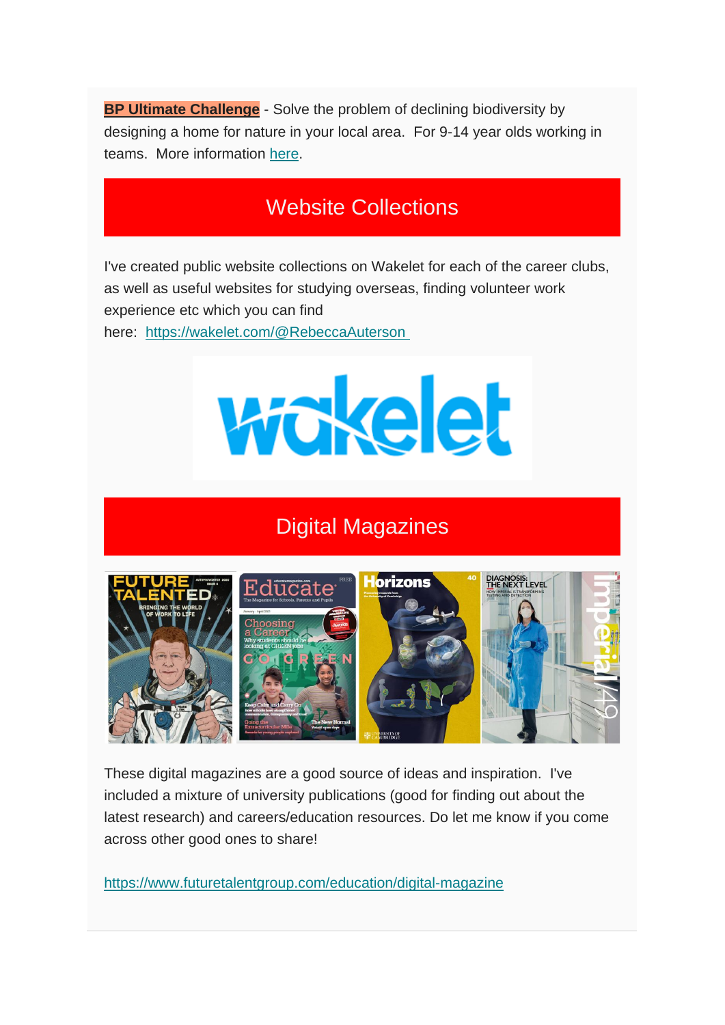**BP Ultimate Challenge** - Solve the problem of declining biodiversity by designing a home for nature in your local area. For 9-14 year olds working in teams. More information [here.](https://bpes.bp.com/ultimate-stem-challenge)

## Website Collections

I've created public website collections on Wakelet for each of the career clubs, as well as useful websites for studying overseas, finding volunteer work experience etc which you can find

here: <https://wakelet.com/@RebeccaAuterson>



## Digital Magazines



These digital magazines are a good source of ideas and inspiration. I've included a mixture of university publications (good for finding out about the latest research) and careers/education resources. Do let me know if you come across other good ones to share!

<https://www.futuretalentgroup.com/education/digital-magazine>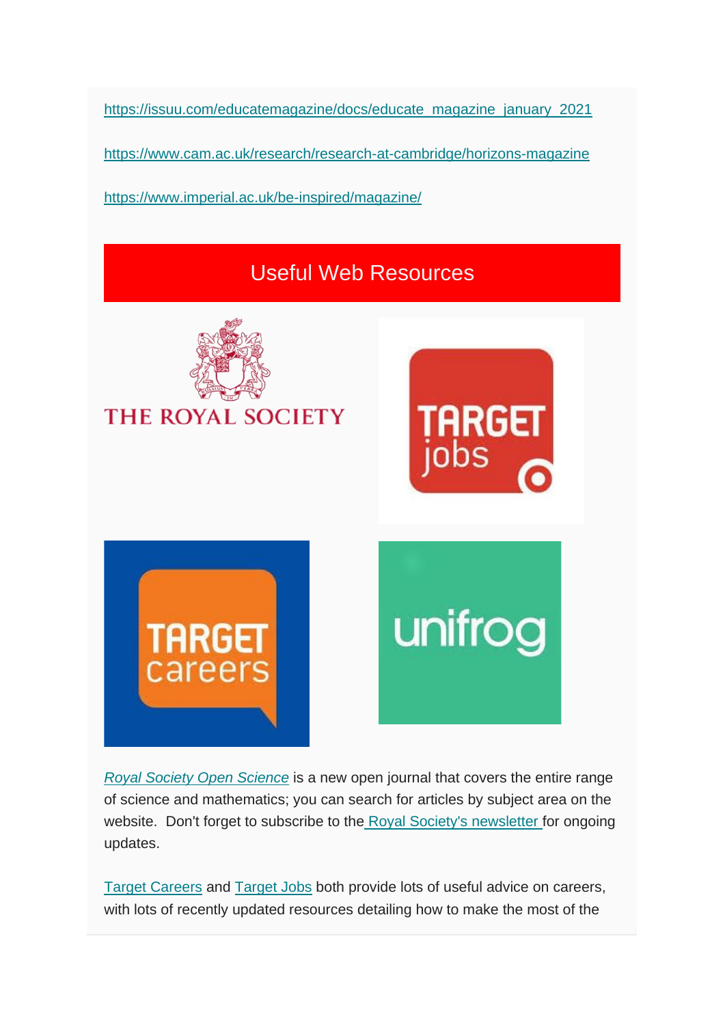[https://issuu.com/educatemagazine/docs/educate\\_magazine\\_january\\_2021](https://www.futuretalentgroup.com/education/digital-magazine)

<https://www.cam.ac.uk/research/research-at-cambridge/horizons-magazine>

<https://www.imperial.ac.uk/be-inspired/magazine/>

## Useful Web Resources



*[Royal Society Open Science](https://royalsocietypublishing.org/journal/rsos)* is a new open journal that covers the entire range of science and mathematics; you can search for articles by subject area on the website. Don't forget to subscribe to the [Royal Society's newsletter](https://royalsociety.org/stay-in-touch/email-newsletters/) for ongoing updates.

[Target Careers](http://www.targetcareers.co.uk/) and [Target Jobs](http://www.targetjobs.co.uk/) both provide lots of useful advice on careers, with lots of recently updated resources detailing how to make the most of the